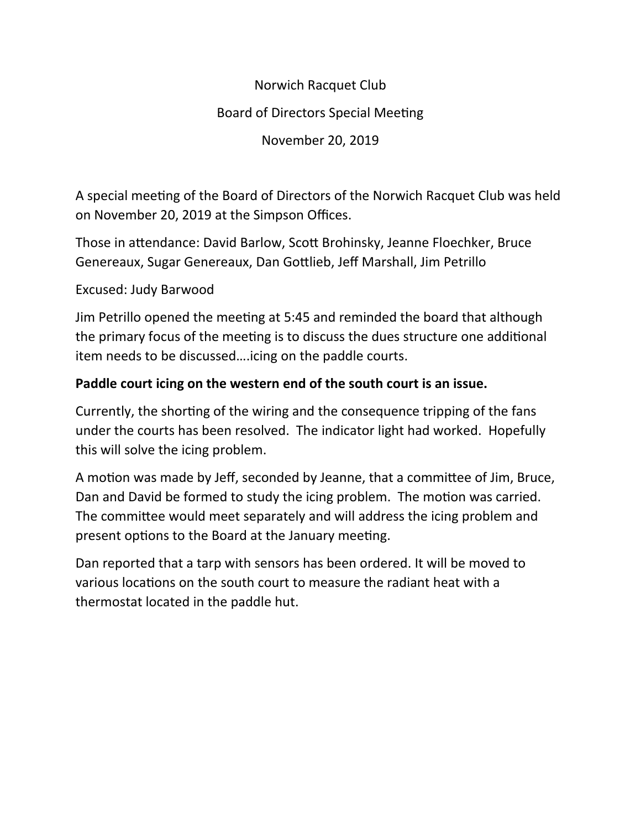# Norwich Racquet Club

# Board of Directors Special Meeting

November 20, 2019

A special meeting of the Board of Directors of the Norwich Racquet Club was held on November 20, 2019 at the Simpson Offices.

Those in attendance: David Barlow, Scott Brohinsky, Jeanne Floechker, Bruce Genereaux, Sugar Genereaux, Dan Gottlieb, Jeff Marshall, Jim Petrillo

### Excused: Judy Barwood

Jim Petrillo opened the meeting at 5:45 and reminded the board that although the primary focus of the meeting is to discuss the dues structure one additional item needs to be discussed….icing on the paddle courts.

### **Paddle court icing on the western end of the south court is an issue.**

Currently, the shorting of the wiring and the consequence tripping of the fans under the courts has been resolved. The indicator light had worked. Hopefully this will solve the icing problem.

A motion was made by Jeff, seconded by Jeanne, that a committee of Jim, Bruce, Dan and David be formed to study the icing problem. The motion was carried. The committee would meet separately and will address the icing problem and present options to the Board at the January meeting.

Dan reported that a tarp with sensors has been ordered. It will be moved to various locations on the south court to measure the radiant heat with a thermostat located in the paddle hut.